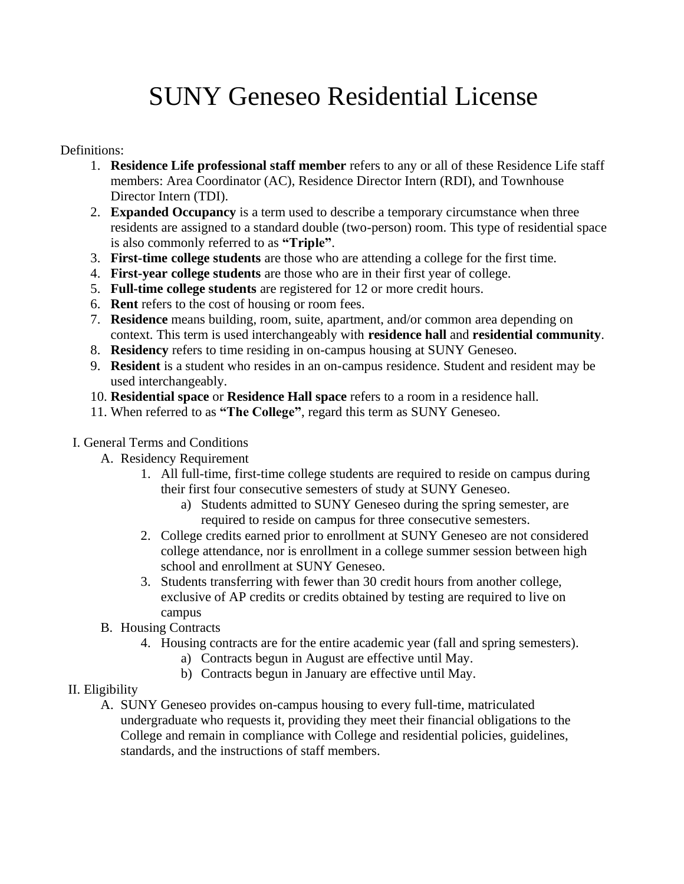# SUNY Geneseo Residential License

#### Definitions:

- 1. **Residence Life professional staff member** refers to any or all of these Residence Life staff members: Area Coordinator (AC), Residence Director Intern (RDI), and Townhouse Director Intern (TDI).
- 2. **Expanded Occupancy** is a term used to describe a temporary circumstance when three residents are assigned to a standard double (two-person) room. This type of residential space is also commonly referred to as **"Triple"**.
- 3. **First-time college students** are those who are attending a college for the first time.
- 4. **First-year college students** are those who are in their first year of college.
- 5. **Full-time college students** are registered for 12 or more credit hours.
- 6. **Rent** refers to the cost of housing or room fees.
- 7. **Residence** means building, room, suite, apartment, and/or common area depending on context. This term is used interchangeably with **residence hall** and **residential community**.
- 8. **Residency** refers to time residing in on-campus housing at SUNY Geneseo.
- 9. **Resident** is a student who resides in an on-campus residence. Student and resident may be used interchangeably.
- 10. **Residential space** or **Residence Hall space** refers to a room in a residence hall.
- 11. When referred to as **"The College"**, regard this term as SUNY Geneseo.
- I. General Terms and Conditions
	- A. Residency Requirement
		- 1. All full-time, first-time college students are required to reside on campus during their first four consecutive semesters of study at SUNY Geneseo.
			- a) Students admitted to SUNY Geneseo during the spring semester, are required to reside on campus for three consecutive semesters.
		- 2. College credits earned prior to enrollment at SUNY Geneseo are not considered college attendance, nor is enrollment in a college summer session between high school and enrollment at SUNY Geneseo.
		- 3. Students transferring with fewer than 30 credit hours from another college, exclusive of AP credits or credits obtained by testing are required to live on campus
	- B. Housing Contracts
		- 4. Housing contracts are for the entire academic year (fall and spring semesters).
			- a) Contracts begun in August are effective until May.
			- b) Contracts begun in January are effective until May.
- II. Eligibility
	- A. SUNY Geneseo provides on-campus housing to every full-time, matriculated undergraduate who requests it, providing they meet their financial obligations to the College and remain in compliance with College and residential policies, guidelines, standards, and the instructions of staff members.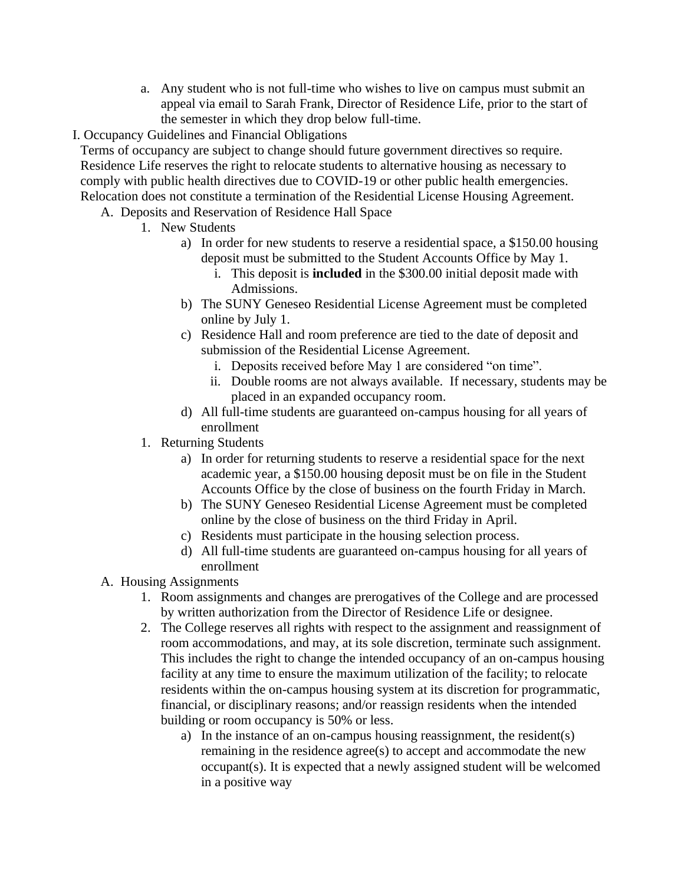- a. Any student who is not full-time who wishes to live on campus must submit an appeal via email to Sarah Frank, Director of Residence Life, prior to the start of the semester in which they drop below full-time.
- I. Occupancy Guidelines and Financial Obligations

Terms of occupancy are subject to change should future government directives so require. Residence Life reserves the right to relocate students to alternative housing as necessary to comply with public health directives due to COVID-19 or other public health emergencies. Relocation does not constitute a termination of the Residential License Housing Agreement.

- A. Deposits and Reservation of Residence Hall Space
	- 1. New Students
		- a) In order for new students to reserve a residential space, a \$150.00 housing deposit must be submitted to the Student Accounts Office by May 1.
			- i. This deposit is **included** in the \$300.00 initial deposit made with Admissions.
		- b) The SUNY Geneseo Residential License Agreement must be completed online by July 1.
		- c) Residence Hall and room preference are tied to the date of deposit and submission of the Residential License Agreement.
			- i. Deposits received before May 1 are considered "on time".
			- ii. Double rooms are not always available. If necessary, students may be placed in an expanded occupancy room.
		- d) All full-time students are guaranteed on-campus housing for all years of enrollment
	- 1. Returning Students
		- a) In order for returning students to reserve a residential space for the next academic year, a \$150.00 housing deposit must be on file in the Student Accounts Office by the close of business on the fourth Friday in March.
		- b) The SUNY Geneseo Residential License Agreement must be completed online by the close of business on the third Friday in April.
		- c) Residents must participate in the housing selection process.
		- d) All full-time students are guaranteed on-campus housing for all years of enrollment
- A. Housing Assignments
	- 1. Room assignments and changes are prerogatives of the College and are processed by written authorization from the Director of Residence Life or designee.
	- 2. The College reserves all rights with respect to the assignment and reassignment of room accommodations, and may, at its sole discretion, terminate such assignment. This includes the right to change the intended occupancy of an on-campus housing facility at any time to ensure the maximum utilization of the facility; to relocate residents within the on-campus housing system at its discretion for programmatic, financial, or disciplinary reasons; and/or reassign residents when the intended building or room occupancy is 50% or less.
		- a) In the instance of an on-campus housing reassignment, the resident(s) remaining in the residence agree(s) to accept and accommodate the new occupant(s). It is expected that a newly assigned student will be welcomed in a positive way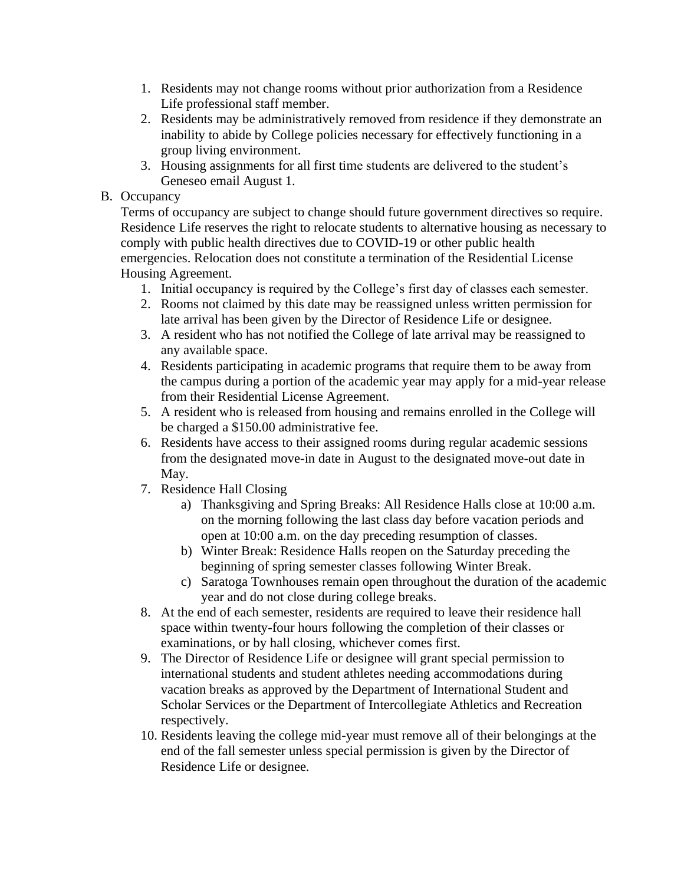- 1. Residents may not change rooms without prior authorization from a Residence Life professional staff member.
- 2. Residents may be administratively removed from residence if they demonstrate an inability to abide by College policies necessary for effectively functioning in a group living environment.
- 3. Housing assignments for all first time students are delivered to the student's Geneseo email August 1.

#### B. Occupancy

Terms of occupancy are subject to change should future government directives so require. Residence Life reserves the right to relocate students to alternative housing as necessary to comply with public health directives due to COVID-19 or other public health emergencies. Relocation does not constitute a termination of the Residential License Housing Agreement.

- 1. Initial occupancy is required by the College's first day of classes each semester.
- 2. Rooms not claimed by this date may be reassigned unless written permission for late arrival has been given by the Director of Residence Life or designee.
- 3. A resident who has not notified the College of late arrival may be reassigned to any available space.
- 4. Residents participating in academic programs that require them to be away from the campus during a portion of the academic year may apply for a mid-year release from their Residential License Agreement.
- 5. A resident who is released from housing and remains enrolled in the College will be charged a \$150.00 administrative fee.
- 6. Residents have access to their assigned rooms during regular academic sessions from the designated move-in date in August to the designated move-out date in May.
- 7. Residence Hall Closing
	- a) Thanksgiving and Spring Breaks: All Residence Halls close at 10:00 a.m. on the morning following the last class day before vacation periods and open at 10:00 a.m. on the day preceding resumption of classes.
	- b) Winter Break: Residence Halls reopen on the Saturday preceding the beginning of spring semester classes following Winter Break.
	- c) Saratoga Townhouses remain open throughout the duration of the academic year and do not close during college breaks.
- 8. At the end of each semester, residents are required to leave their residence hall space within twenty-four hours following the completion of their classes or examinations, or by hall closing, whichever comes first.
- 9. The Director of Residence Life or designee will grant special permission to international students and student athletes needing accommodations during vacation breaks as approved by the Department of International Student and Scholar Services or the Department of Intercollegiate Athletics and Recreation respectively.
- 10. Residents leaving the college mid-year must remove all of their belongings at the end of the fall semester unless special permission is given by the Director of Residence Life or designee.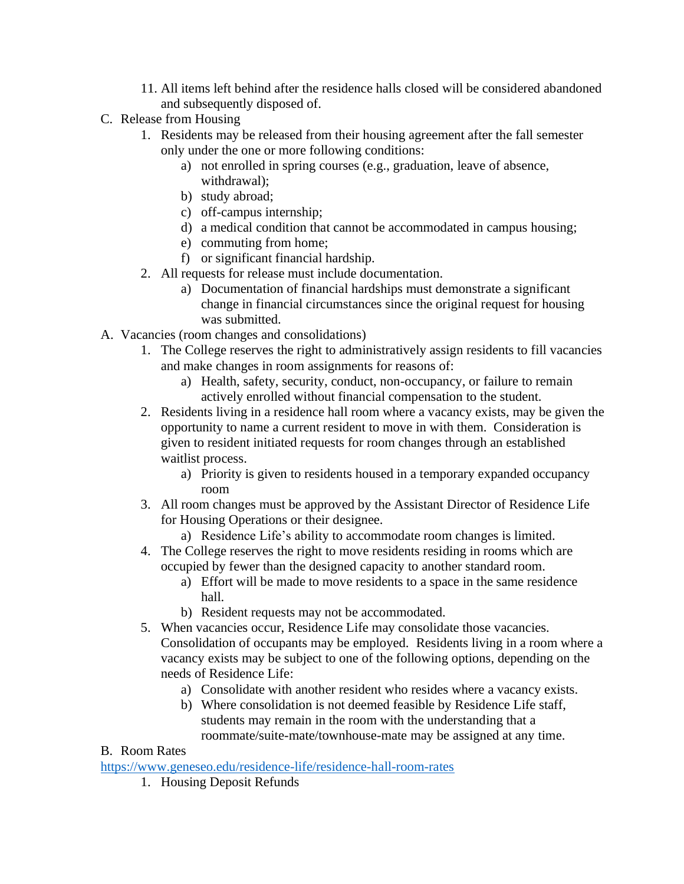- 11. All items left behind after the residence halls closed will be considered abandoned and subsequently disposed of.
- C. Release from Housing
	- 1. Residents may be released from their housing agreement after the fall semester only under the one or more following conditions:
		- a) not enrolled in spring courses (e.g., graduation, leave of absence, withdrawal);
		- b) study abroad;
		- c) off-campus internship;
		- d) a medical condition that cannot be accommodated in campus housing;
		- e) commuting from home;
		- f) or significant financial hardship.
	- 2. All requests for release must include documentation.
		- a) Documentation of financial hardships must demonstrate a significant change in financial circumstances since the original request for housing was submitted.
- A. Vacancies (room changes and consolidations)
	- 1. The College reserves the right to administratively assign residents to fill vacancies and make changes in room assignments for reasons of:
		- a) Health, safety, security, conduct, non-occupancy, or failure to remain actively enrolled without financial compensation to the student.
	- 2. Residents living in a residence hall room where a vacancy exists, may be given the opportunity to name a current resident to move in with them. Consideration is given to resident initiated requests for room changes through an established waitlist process.
		- a) Priority is given to residents housed in a temporary expanded occupancy room
	- 3. All room changes must be approved by the Assistant Director of Residence Life for Housing Operations or their designee.
		- a) Residence Life's ability to accommodate room changes is limited.
	- 4. The College reserves the right to move residents residing in rooms which are occupied by fewer than the designed capacity to another standard room.
		- a) Effort will be made to move residents to a space in the same residence hall.
		- b) Resident requests may not be accommodated.
	- 5. When vacancies occur, Residence Life may consolidate those vacancies. Consolidation of occupants may be employed. Residents living in a room where a vacancy exists may be subject to one of the following options, depending on the needs of Residence Life:
		- a) Consolidate with another resident who resides where a vacancy exists.
		- b) Where consolidation is not deemed feasible by Residence Life staff, students may remain in the room with the understanding that a roommate/suite-mate/townhouse-mate may be assigned at any time.

# B. Room Rates

<https://www.geneseo.edu/residence-life/residence-hall-room-rates>

1. Housing Deposit Refunds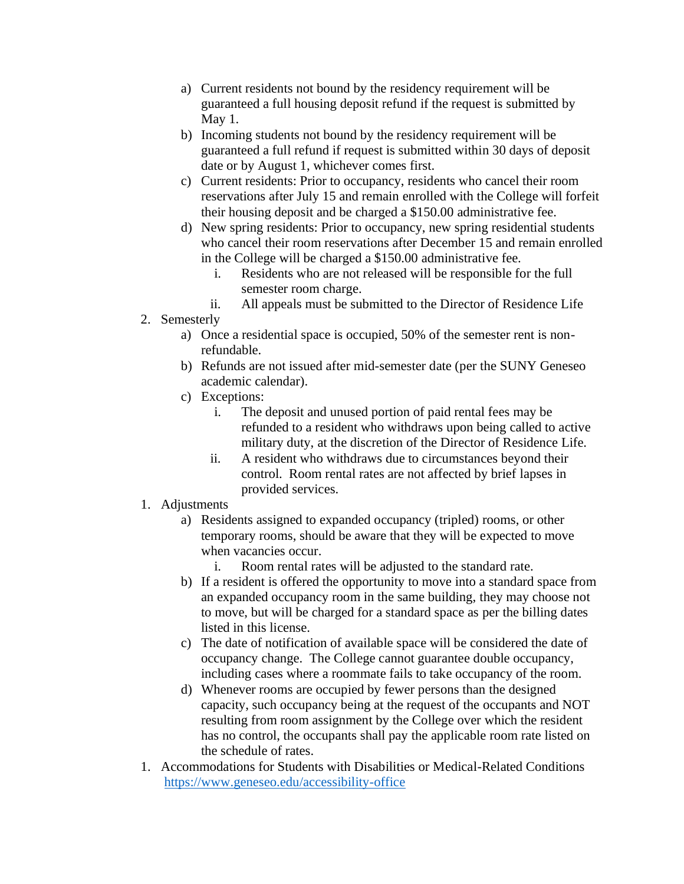- a) Current residents not bound by the residency requirement will be guaranteed a full housing deposit refund if the request is submitted by May 1.
- b) Incoming students not bound by the residency requirement will be guaranteed a full refund if request is submitted within 30 days of deposit date or by August 1, whichever comes first.
- c) Current residents: Prior to occupancy, residents who cancel their room reservations after July 15 and remain enrolled with the College will forfeit their housing deposit and be charged a \$150.00 administrative fee.
- d) New spring residents: Prior to occupancy, new spring residential students who cancel their room reservations after December 15 and remain enrolled in the College will be charged a \$150.00 administrative fee.
	- i. Residents who are not released will be responsible for the full semester room charge.
	- ii. All appeals must be submitted to the Director of Residence Life
- 2. Semesterly
	- a) Once a residential space is occupied, 50% of the semester rent is nonrefundable.
	- b) Refunds are not issued after mid-semester date (per the SUNY Geneseo academic calendar).
	- c) Exceptions:
		- i. The deposit and unused portion of paid rental fees may be refunded to a resident who withdraws upon being called to active military duty, at the discretion of the Director of Residence Life.
		- ii. A resident who withdraws due to circumstances beyond their control. Room rental rates are not affected by brief lapses in provided services.

#### 1. Adjustments

- a) Residents assigned to expanded occupancy (tripled) rooms, or other temporary rooms, should be aware that they will be expected to move when vacancies occur.
	- i. Room rental rates will be adjusted to the standard rate.
- b) If a resident is offered the opportunity to move into a standard space from an expanded occupancy room in the same building, they may choose not to move, but will be charged for a standard space as per the billing dates listed in this license.
- c) The date of notification of available space will be considered the date of occupancy change. The College cannot guarantee double occupancy, including cases where a roommate fails to take occupancy of the room.
- d) Whenever rooms are occupied by fewer persons than the designed capacity, such occupancy being at the request of the occupants and NOT resulting from room assignment by the College over which the resident has no control, the occupants shall pay the applicable room rate listed on the schedule of rates.
- 1. Accommodations for Students with Disabilities or Medical-Related Conditions <https://www.geneseo.edu/accessibility-office>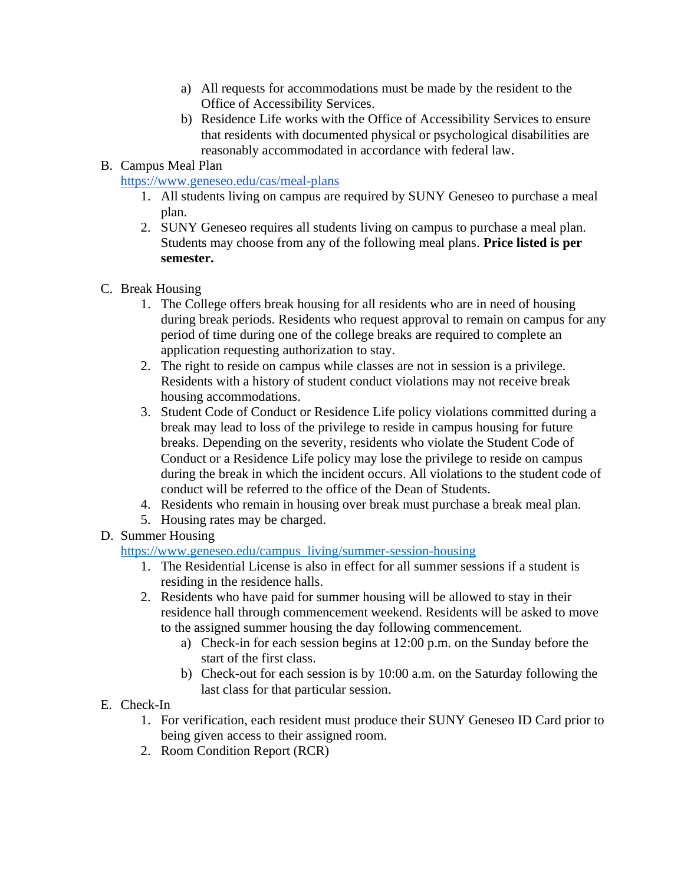- a) All requests for accommodations must be made by the resident to the Office of Accessibility Services.
- b) Residence Life works with the Office of Accessibility Services to ensure that residents with documented physical or psychological disabilities are reasonably accommodated in accordance with federal law.

### B. Campus Meal Plan

<https://www.geneseo.edu/cas/meal-plans>

- 1. All students living on campus are required by SUNY Geneseo to purchase a meal plan.
- 2. SUNY Geneseo requires all students living on campus to purchase a meal plan. Students may choose from any of the following meal plans. **Price listed is per semester.**
- C. Break Housing
	- 1. The College offers break housing for all residents who are in need of housing during break periods. Residents who request approval to remain on campus for any period of time during one of the college breaks are required to complete an application requesting authorization to stay.
	- 2. The right to reside on campus while classes are not in session is a privilege. Residents with a history of student conduct violations may not receive break housing accommodations.
	- 3. Student Code of Conduct or Residence Life policy violations committed during a break may lead to loss of the privilege to reside in campus housing for future breaks. Depending on the severity, residents who violate the Student Code of Conduct or a Residence Life policy may lose the privilege to reside on campus during the break in which the incident occurs. All violations to the student code of conduct will be referred to the office of the Dean of Students.
	- 4. Residents who remain in housing over break must purchase a break meal plan.
	- 5. Housing rates may be charged.
- D. Summer Housing

[https://www.geneseo.edu/campus\\_living/summer-session-housing](https://www.geneseo.edu/campus_living/summer-session-housing)

- 1. The Residential License is also in effect for all summer sessions if a student is residing in the residence halls.
- 2. Residents who have paid for summer housing will be allowed to stay in their residence hall through commencement weekend. Residents will be asked to move to the assigned summer housing the day following commencement.
	- a) Check-in for each session begins at 12:00 p.m. on the Sunday before the start of the first class.
	- b) Check-out for each session is by 10:00 a.m. on the Saturday following the last class for that particular session.
- E. Check-In
	- 1. For verification, each resident must produce their SUNY Geneseo ID Card prior to being given access to their assigned room.
	- 2. Room Condition Report (RCR)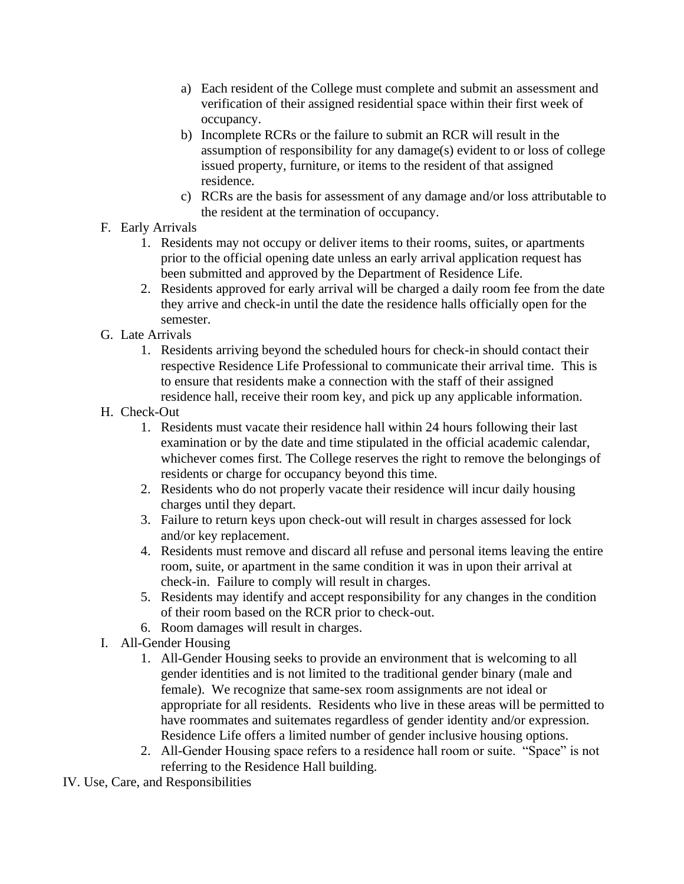- a) Each resident of the College must complete and submit an assessment and verification of their assigned residential space within their first week of occupancy.
- b) Incomplete RCRs or the failure to submit an RCR will result in the assumption of responsibility for any damage(s) evident to or loss of college issued property, furniture, or items to the resident of that assigned residence.
- c) RCRs are the basis for assessment of any damage and/or loss attributable to the resident at the termination of occupancy.
- F. Early Arrivals
	- 1. Residents may not occupy or deliver items to their rooms, suites, or apartments prior to the official opening date unless an early arrival application request has been submitted and approved by the Department of Residence Life.
	- 2. Residents approved for early arrival will be charged a daily room fee from the date they arrive and check-in until the date the residence halls officially open for the semester.
- G. Late Arrivals
	- 1. Residents arriving beyond the scheduled hours for check-in should contact their respective Residence Life Professional to communicate their arrival time. This is to ensure that residents make a connection with the staff of their assigned residence hall, receive their room key, and pick up any applicable information.
- H. Check-Out
	- 1. Residents must vacate their residence hall within 24 hours following their last examination or by the date and time stipulated in the official academic calendar, whichever comes first. The College reserves the right to remove the belongings of residents or charge for occupancy beyond this time.
	- 2. Residents who do not properly vacate their residence will incur daily housing charges until they depart.
	- 3. Failure to return keys upon check-out will result in charges assessed for lock and/or key replacement.
	- 4. Residents must remove and discard all refuse and personal items leaving the entire room, suite, or apartment in the same condition it was in upon their arrival at check-in. Failure to comply will result in charges.
	- 5. Residents may identify and accept responsibility for any changes in the condition of their room based on the RCR prior to check-out.
	- 6. Room damages will result in charges.
- I. All-Gender Housing
	- 1. All-Gender Housing seeks to provide an environment that is welcoming to all gender identities and is not limited to the traditional gender binary (male and female). We recognize that same-sex room assignments are not ideal or appropriate for all residents. Residents who live in these areas will be permitted to have roommates and suitemates regardless of gender identity and/or expression. Residence Life offers a limited number of gender inclusive housing options.
	- 2. All-Gender Housing space refers to a residence hall room or suite. "Space" is not referring to the Residence Hall building.
- IV. Use, Care, and Responsibilities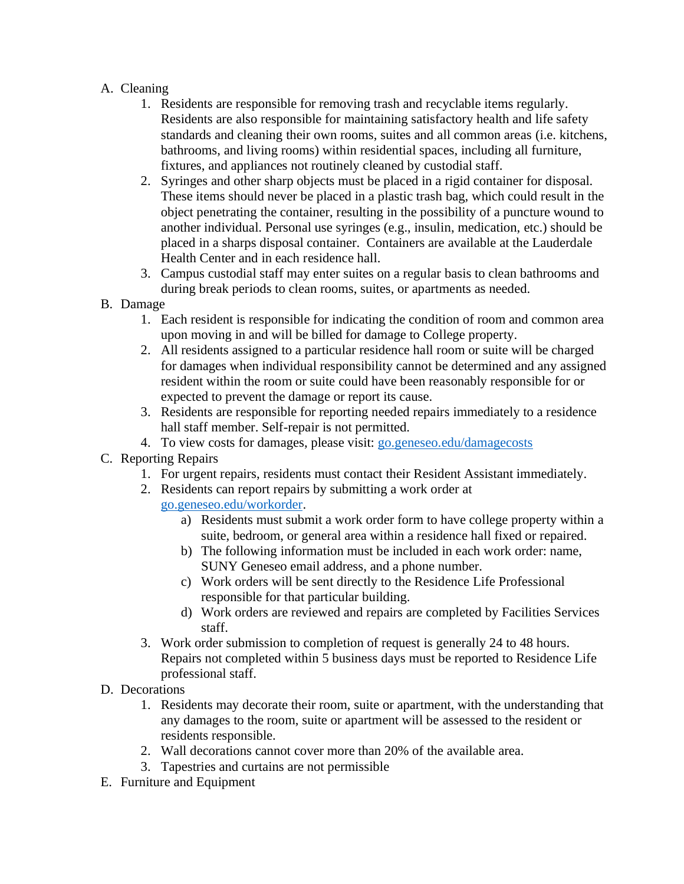#### A. Cleaning

- 1. Residents are responsible for removing trash and recyclable items regularly. Residents are also responsible for maintaining satisfactory health and life safety standards and cleaning their own rooms, suites and all common areas (i.e. kitchens, bathrooms, and living rooms) within residential spaces, including all furniture, fixtures, and appliances not routinely cleaned by custodial staff.
- 2. Syringes and other sharp objects must be placed in a rigid container for disposal. These items should never be placed in a plastic trash bag, which could result in the object penetrating the container, resulting in the possibility of a puncture wound to another individual. Personal use syringes (e.g., insulin, medication, etc.) should be placed in a sharps disposal container. Containers are available at the Lauderdale Health Center and in each residence hall.
- 3. Campus custodial staff may enter suites on a regular basis to clean bathrooms and during break periods to clean rooms, suites, or apartments as needed.
- B. Damage
	- 1. Each resident is responsible for indicating the condition of room and common area upon moving in and will be billed for damage to College property.
	- 2. All residents assigned to a particular residence hall room or suite will be charged for damages when individual responsibility cannot be determined and any assigned resident within the room or suite could have been reasonably responsible for or expected to prevent the damage or report its cause.
	- 3. Residents are responsible for reporting needed repairs immediately to a residence hall staff member. Self-repair is not permitted.
	- 4. To view costs for damages, please visit: [go.geneseo.edu/damagecosts](http://go.geneseo.edu/damagecosts)
- C. Reporting Repairs
	- 1. For urgent repairs, residents must contact their Resident Assistant immediately.
	- 2. Residents can report repairs by submitting a work order at [go.geneseo.edu/workorder.](http://go.geneseo.edu/workorder)
		- a) Residents must submit a work order form to have college property within a suite, bedroom, or general area within a residence hall fixed or repaired.
		- b) The following information must be included in each work order: name, SUNY Geneseo email address, and a phone number.
		- c) Work orders will be sent directly to the Residence Life Professional responsible for that particular building.
		- d) Work orders are reviewed and repairs are completed by Facilities Services staff.
	- 3. Work order submission to completion of request is generally 24 to 48 hours. Repairs not completed within 5 business days must be reported to Residence Life professional staff.
- D. Decorations
	- 1. Residents may decorate their room, suite or apartment, with the understanding that any damages to the room, suite or apartment will be assessed to the resident or residents responsible.
	- 2. Wall decorations cannot cover more than 20% of the available area.
	- 3. Tapestries and curtains are not permissible
- E. Furniture and Equipment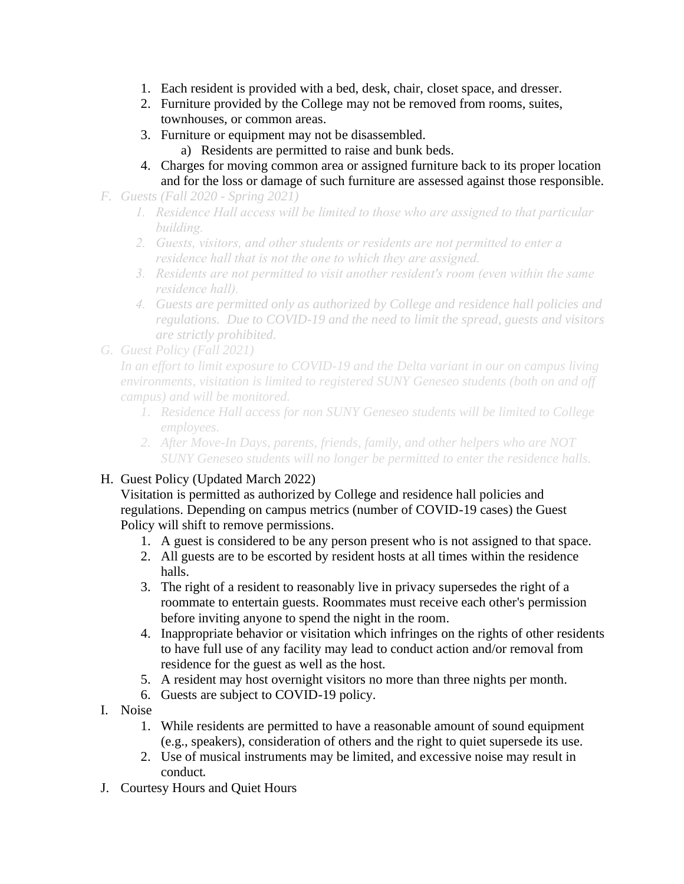- 1. Each resident is provided with a bed, desk, chair, closet space, and dresser.
- 2. Furniture provided by the College may not be removed from rooms, suites, townhouses, or common areas.
- 3. Furniture or equipment may not be disassembled.
	- a) Residents are permitted to raise and bunk beds.
- 4. Charges for moving common area or assigned furniture back to its proper location and for the loss or damage of such furniture are assessed against those responsible.
- *F. Guests (Fall 2020 - Spring 2021)*
	- *1. Residence Hall access will be limited to those who are assigned to that particular building.*
	- *2. Guests, visitors, and other students or residents are not permitted to enter a residence hall that is not the one to which they are assigned.*
	- *3. Residents are not permitted to visit another resident's room (even within the same residence hall).*
	- *4. Guests are permitted only as authorized by College and residence hall policies and regulations. Due to COVID-19 and the need to limit the spread, guests and visitors are strictly prohibited.*
- *G. Guest Policy (Fall 2021)*

*In an effort to limit exposure to COVID-19 and the Delta variant in our on campus living environments, visitation is limited to registered SUNY Geneseo students (both on and off campus) and will be monitored.* 

- *1. Residence Hall access for non SUNY Geneseo students will be limited to College employees.*
- *2. After Move-In Days, parents, friends, family, and other helpers who are NOT SUNY Geneseo students will no longer be permitted to enter the residence halls.*

# H. Guest Policy (Updated March 2022)

Visitation is permitted as authorized by College and residence hall policies and regulations. Depending on campus metrics (number of COVID-19 cases) the Guest Policy will shift to remove permissions.

- 1. A guest is considered to be any person present who is not assigned to that space.
- 2. All guests are to be escorted by resident hosts at all times within the residence halls.
- 3. The right of a resident to reasonably live in privacy supersedes the right of a roommate to entertain guests. Roommates must receive each other's permission before inviting anyone to spend the night in the room.
- 4. Inappropriate behavior or visitation which infringes on the rights of other residents to have full use of any facility may lead to conduct action and/or removal from residence for the guest as well as the host.
- 5. A resident may host overnight visitors no more than three nights per month.
- 6. Guests are subject to COVID-19 policy.
- I. Noise
	- 1. While residents are permitted to have a reasonable amount of sound equipment (e.g., speakers), consideration of others and the right to quiet supersede its use.
	- 2. Use of musical instruments may be limited, and excessive noise may result in conduct.
- J. Courtesy Hours and Quiet Hours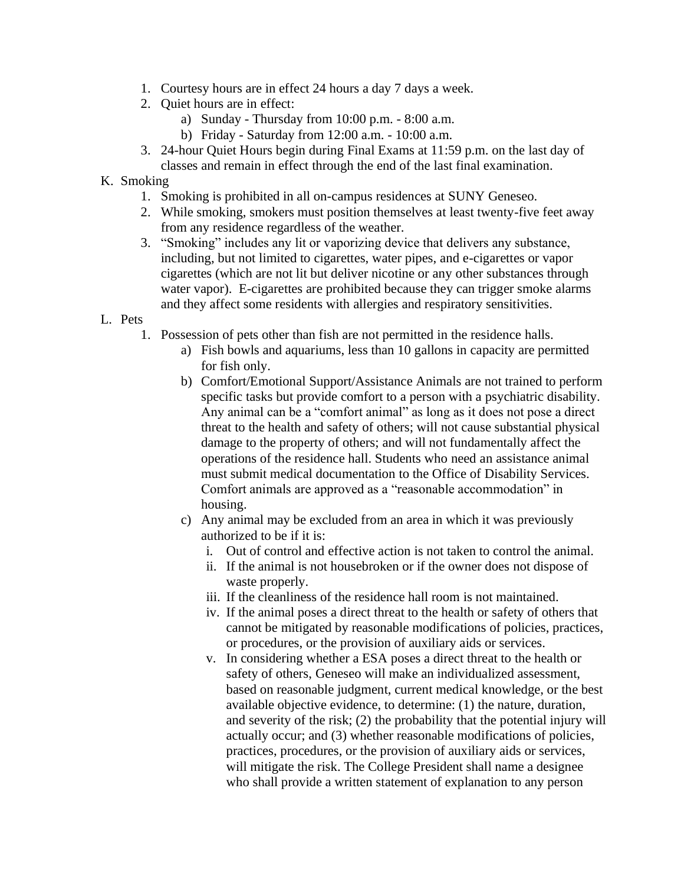- 1. Courtesy hours are in effect 24 hours a day 7 days a week.
- 2. Quiet hours are in effect:
	- a) Sunday Thursday from 10:00 p.m. 8:00 a.m.
	- b) Friday Saturday from 12:00 a.m. 10:00 a.m.
- 3. 24-hour Quiet Hours begin during Final Exams at 11:59 p.m. on the last day of classes and remain in effect through the end of the last final examination.
- K. Smoking
	- 1. Smoking is prohibited in all on-campus residences at SUNY Geneseo.
	- 2. While smoking, smokers must position themselves at least twenty-five feet away from any residence regardless of the weather.
	- 3. "Smoking" includes any lit or vaporizing device that delivers any substance, including, but not limited to cigarettes, water pipes, and e-cigarettes or vapor cigarettes (which are not lit but deliver nicotine or any other substances through water vapor). E-cigarettes are prohibited because they can trigger smoke alarms and they affect some residents with allergies and respiratory sensitivities.
- L. Pets
	- 1. Possession of pets other than fish are not permitted in the residence halls.
		- a) Fish bowls and aquariums, less than 10 gallons in capacity are permitted for fish only.
		- b) Comfort/Emotional Support/Assistance Animals are not trained to perform specific tasks but provide comfort to a person with a psychiatric disability. Any animal can be a "comfort animal" as long as it does not pose a direct threat to the health and safety of others; will not cause substantial physical damage to the property of others; and will not fundamentally affect the operations of the residence hall. Students who need an assistance animal must submit medical documentation to the Office of Disability Services. Comfort animals are approved as a "reasonable accommodation" in housing.
		- c) Any animal may be excluded from an area in which it was previously authorized to be if it is:
			- i. Out of control and effective action is not taken to control the animal.
			- ii. If the animal is not housebroken or if the owner does not dispose of waste properly.
			- iii. If the cleanliness of the residence hall room is not maintained.
			- iv. If the animal poses a direct threat to the health or safety of others that cannot be mitigated by reasonable modifications of policies, practices, or procedures, or the provision of auxiliary aids or services.
			- v. In considering whether a ESA poses a direct threat to the health or safety of others, Geneseo will make an individualized assessment, based on reasonable judgment, current medical knowledge, or the best available objective evidence, to determine: (1) the nature, duration, and severity of the risk; (2) the probability that the potential injury will actually occur; and (3) whether reasonable modifications of policies, practices, procedures, or the provision of auxiliary aids or services, will mitigate the risk. The College President shall name a designee who shall provide a written statement of explanation to any person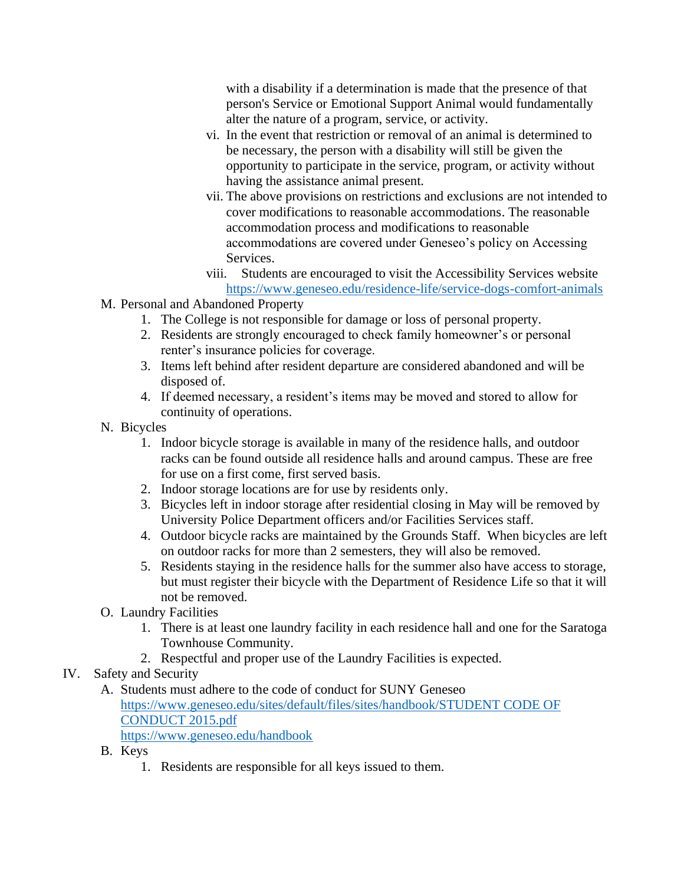with a disability if a determination is made that the presence of that person's Service or Emotional Support Animal would fundamentally alter the nature of a program, service, or activity.

- vi. In the event that restriction or removal of an animal is determined to be necessary, the person with a disability will still be given the opportunity to participate in the service, program, or activity without having the assistance animal present.
- vii. The above provisions on restrictions and exclusions are not intended to cover modifications to reasonable accommodations. The reasonable accommodation process and modifications to reasonable accommodations are covered under Geneseo's policy on Accessing Services.
- viii. Students are encouraged to visit the Accessibility Services website <https://www.geneseo.edu/residence-life/service-dogs-comfort-animals>
- M. Personal and Abandoned Property
	- 1. The College is not responsible for damage or loss of personal property.
	- 2. Residents are strongly encouraged to check family homeowner's or personal renter's insurance policies for coverage.
	- 3. Items left behind after resident departure are considered abandoned and will be disposed of.
	- 4. If deemed necessary, a resident's items may be moved and stored to allow for continuity of operations.
- N. Bicycles
	- 1. Indoor bicycle storage is available in many of the residence halls, and outdoor racks can be found outside all residence halls and around campus. These are free for use on a first come, first served basis.
	- 2. Indoor storage locations are for use by residents only.
	- 3. Bicycles left in indoor storage after residential closing in May will be removed by University Police Department officers and/or Facilities Services staff.
	- 4. Outdoor bicycle racks are maintained by the Grounds Staff. When bicycles are left on outdoor racks for more than 2 semesters, they will also be removed.
	- 5. Residents staying in the residence halls for the summer also have access to storage, but must register their bicycle with the Department of Residence Life so that it will not be removed.
- O. Laundry Facilities
	- 1. There is at least one laundry facility in each residence hall and one for the Saratoga Townhouse Community.
	- 2. Respectful and proper use of the Laundry Facilities is expected.
- IV. Safety and Security
	- A. Students must adhere to the code of conduct for SUNY Geneseo [https://www.geneseo.edu/sites/default/files/sites/handbook/STUDENT CODE OF](https://www.geneseo.edu/sites/default/files/sites/handbook/STUDENT%20CODE%20OF%20CONDUCT%202015.pdf)  [CONDUCT 2015.pdf](https://www.geneseo.edu/sites/default/files/sites/handbook/STUDENT%20CODE%20OF%20CONDUCT%202015.pdf)

<https://www.geneseo.edu/handbook>

- B. Keys
	- 1. Residents are responsible for all keys issued to them.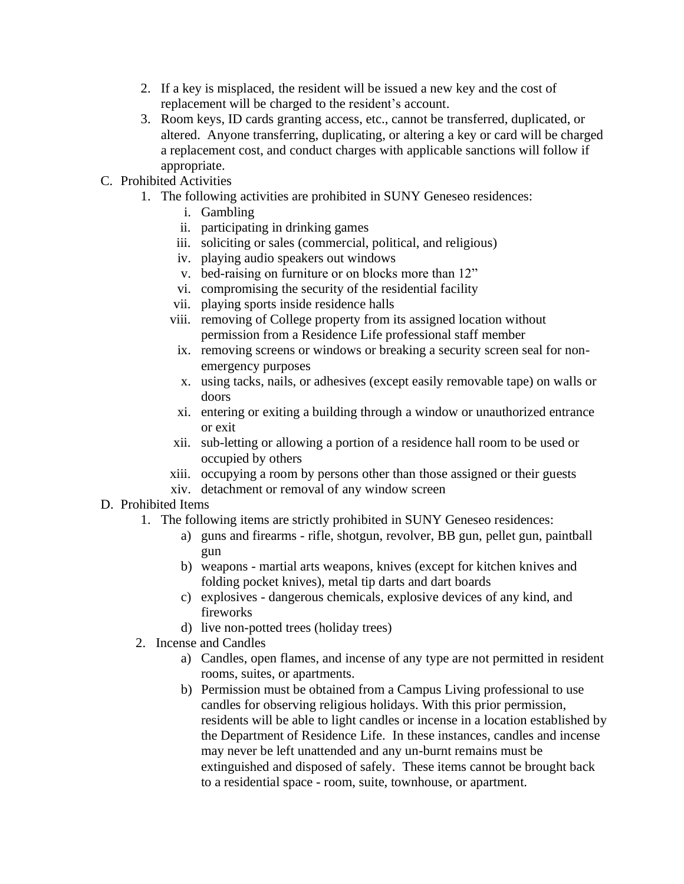- 2. If a key is misplaced, the resident will be issued a new key and the cost of replacement will be charged to the resident's account.
- 3. Room keys, ID cards granting access, etc., cannot be transferred, duplicated, or altered. Anyone transferring, duplicating, or altering a key or card will be charged a replacement cost, and conduct charges with applicable sanctions will follow if appropriate.
- C. Prohibited Activities
	- 1. The following activities are prohibited in SUNY Geneseo residences:
		- i. Gambling
		- ii. participating in drinking games
		- iii. soliciting or sales (commercial, political, and religious)
		- iv. playing audio speakers out windows
		- v. bed-raising on furniture or on blocks more than 12"
		- vi. compromising the security of the residential facility
		- vii. playing sports inside residence halls
		- viii. removing of College property from its assigned location without permission from a Residence Life professional staff member
		- ix. removing screens or windows or breaking a security screen seal for nonemergency purposes
		- x. using tacks, nails, or adhesives (except easily removable tape) on walls or doors
		- xi. entering or exiting a building through a window or unauthorized entrance or exit
		- xii. sub-letting or allowing a portion of a residence hall room to be used or occupied by others
		- xiii. occupying a room by persons other than those assigned or their guests
		- xiv. detachment or removal of any window screen

#### D. Prohibited Items

- 1. The following items are strictly prohibited in SUNY Geneseo residences:
	- a) guns and firearms rifle, shotgun, revolver, BB gun, pellet gun, paintball gun
	- b) weapons martial arts weapons, knives (except for kitchen knives and folding pocket knives), metal tip darts and dart boards
	- c) explosives dangerous chemicals, explosive devices of any kind, and fireworks
	- d) live non-potted trees (holiday trees)
- 2. Incense and Candles
	- a) Candles, open flames, and incense of any type are not permitted in resident rooms, suites, or apartments.
	- b) Permission must be obtained from a Campus Living professional to use candles for observing religious holidays. With this prior permission, residents will be able to light candles or incense in a location established by the Department of Residence Life. In these instances, candles and incense may never be left unattended and any un-burnt remains must be extinguished and disposed of safely. These items cannot be brought back to a residential space - room, suite, townhouse, or apartment.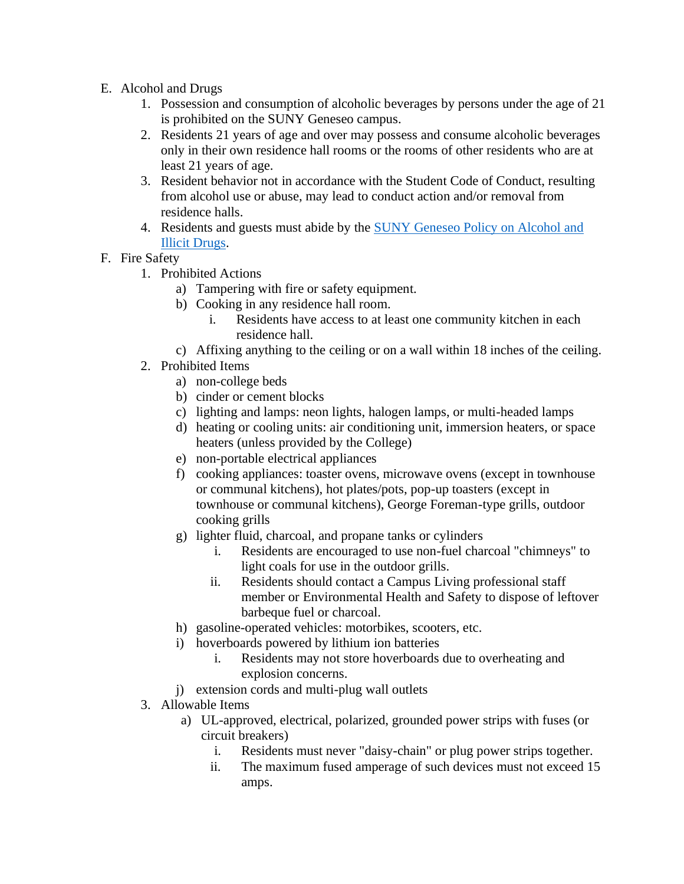- E. Alcohol and Drugs
	- 1. Possession and consumption of alcoholic beverages by persons under the age of 21 is prohibited on the SUNY Geneseo campus.
	- 2. Residents 21 years of age and over may possess and consume alcoholic beverages only in their own residence hall rooms or the rooms of other residents who are at least 21 years of age.
	- 3. Resident behavior not in accordance with the Student Code of Conduct, resulting from alcohol use or abuse, may lead to conduct action and/or removal from residence halls.
	- 4. Residents and guests must abide by the [SUNY Geneseo Policy on Alcohol and](https://www.geneseo.edu/handbook/policies_procedures)  [Illicit Drugs.](https://www.geneseo.edu/handbook/policies_procedures)

# F. Fire Safety

- 1. Prohibited Actions
	- a) Tampering with fire or safety equipment.
	- b) Cooking in any residence hall room.
		- i. Residents have access to at least one community kitchen in each residence hall.
	- c) Affixing anything to the ceiling or on a wall within 18 inches of the ceiling.
- 2. Prohibited Items
	- a) non-college beds
	- b) cinder or cement blocks
	- c) lighting and lamps: neon lights, halogen lamps, or multi-headed lamps
	- d) heating or cooling units: air conditioning unit, immersion heaters, or space heaters (unless provided by the College)
	- e) non-portable electrical appliances
	- f) cooking appliances: toaster ovens, microwave ovens (except in townhouse or communal kitchens), hot plates/pots, pop-up toasters (except in townhouse or communal kitchens), George Foreman-type grills, outdoor cooking grills
	- g) lighter fluid, charcoal, and propane tanks or cylinders
		- i. Residents are encouraged to use non-fuel charcoal "chimneys" to light coals for use in the outdoor grills.
		- ii. Residents should contact a Campus Living professional staff member or Environmental Health and Safety to dispose of leftover barbeque fuel or charcoal.
	- h) gasoline-operated vehicles: motorbikes, scooters, etc.
	- i) hoverboards powered by lithium ion batteries
		- i. Residents may not store hoverboards due to overheating and explosion concerns.
	- j) extension cords and multi-plug wall outlets
- 3. Allowable Items
	- a) UL-approved, electrical, polarized, grounded power strips with fuses (or circuit breakers)
		- i. Residents must never "daisy-chain" or plug power strips together.
		- ii. The maximum fused amperage of such devices must not exceed 15 amps.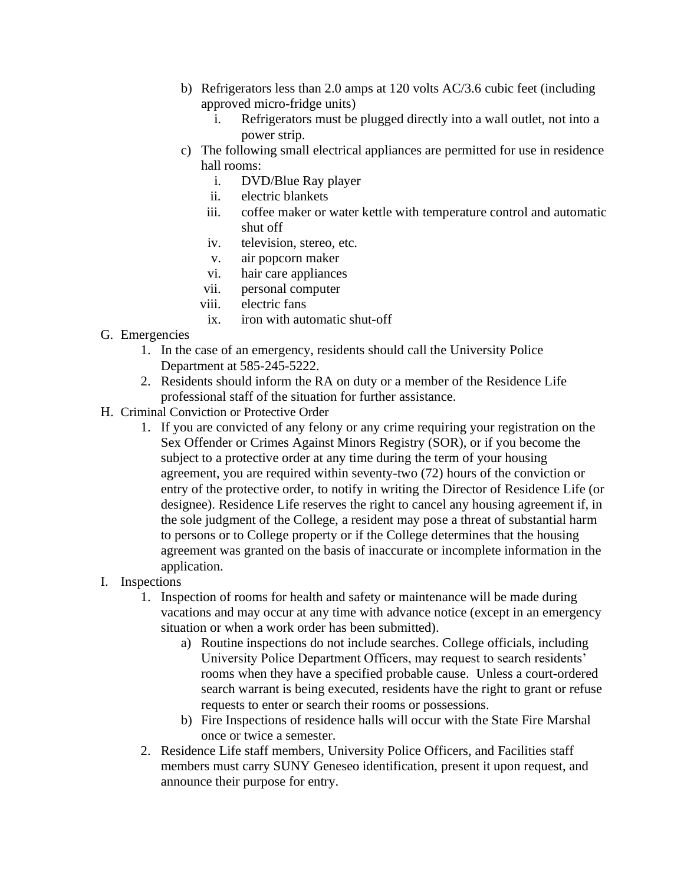- b) Refrigerators less than 2.0 amps at 120 volts AC/3.6 cubic feet (including approved micro-fridge units)
	- i. Refrigerators must be plugged directly into a wall outlet, not into a power strip.
- c) The following small electrical appliances are permitted for use in residence hall rooms:
	- i. DVD/Blue Ray player
	- ii. electric blankets
	- iii. coffee maker or water kettle with temperature control and automatic shut off
	- iv. television, stereo, etc.
	- v. air popcorn maker
	- vi. hair care appliances
	- vii. personal computer
	- viii. electric fans
		- ix. iron with automatic shut-off
- G. Emergencies
	- 1. In the case of an emergency, residents should call the University Police Department at 585-245-5222.
	- 2. Residents should inform the RA on duty or a member of the Residence Life professional staff of the situation for further assistance.
- H. Criminal Conviction or Protective Order
	- 1. If you are convicted of any felony or any crime requiring your registration on the Sex Offender or Crimes Against Minors Registry (SOR), or if you become the subject to a protective order at any time during the term of your housing agreement, you are required within seventy-two (72) hours of the conviction or entry of the protective order, to notify in writing the Director of Residence Life (or designee). Residence Life reserves the right to cancel any housing agreement if, in the sole judgment of the College, a resident may pose a threat of substantial harm to persons or to College property or if the College determines that the housing agreement was granted on the basis of inaccurate or incomplete information in the application.
- I. Inspections
	- 1. Inspection of rooms for health and safety or maintenance will be made during vacations and may occur at any time with advance notice (except in an emergency situation or when a work order has been submitted).
		- a) Routine inspections do not include searches. College officials, including University Police Department Officers, may request to search residents' rooms when they have a specified probable cause. Unless a court-ordered search warrant is being executed, residents have the right to grant or refuse requests to enter or search their rooms or possessions.
		- b) Fire Inspections of residence halls will occur with the State Fire Marshal once or twice a semester.
	- 2. Residence Life staff members, University Police Officers, and Facilities staff members must carry SUNY Geneseo identification, present it upon request, and announce their purpose for entry.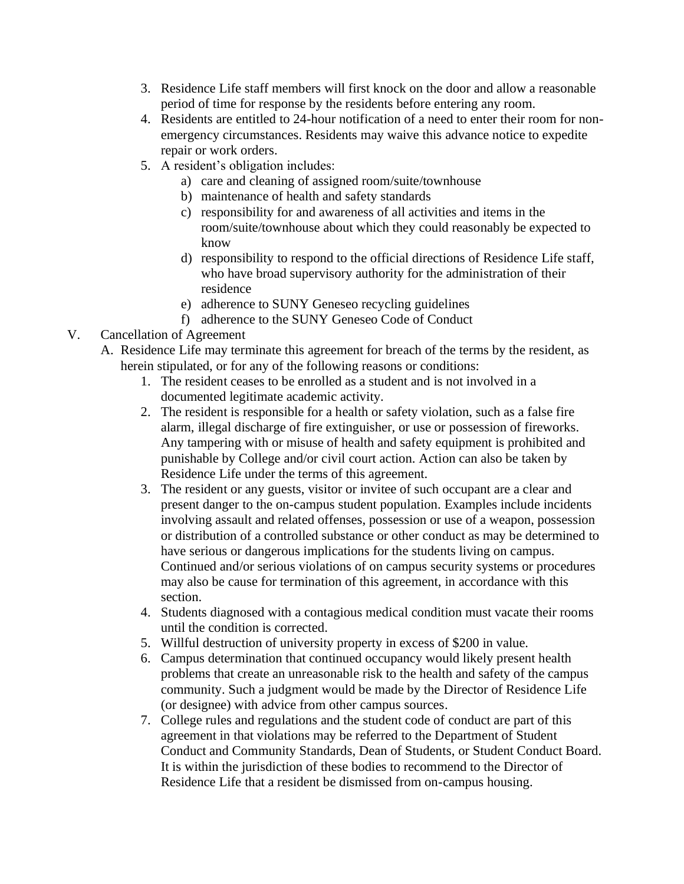- 3. Residence Life staff members will first knock on the door and allow a reasonable period of time for response by the residents before entering any room.
- 4. Residents are entitled to 24-hour notification of a need to enter their room for nonemergency circumstances. Residents may waive this advance notice to expedite repair or work orders.
- 5. A resident's obligation includes:
	- a) care and cleaning of assigned room/suite/townhouse
	- b) maintenance of health and safety standards
	- c) responsibility for and awareness of all activities and items in the room/suite/townhouse about which they could reasonably be expected to know
	- d) responsibility to respond to the official directions of Residence Life staff, who have broad supervisory authority for the administration of their residence
	- e) adherence to SUNY Geneseo recycling guidelines
	- f) adherence to the SUNY Geneseo Code of Conduct

#### V. Cancellation of Agreement

- A. Residence Life may terminate this agreement for breach of the terms by the resident, as herein stipulated, or for any of the following reasons or conditions:
	- 1. The resident ceases to be enrolled as a student and is not involved in a documented legitimate academic activity.
	- 2. The resident is responsible for a health or safety violation, such as a false fire alarm, illegal discharge of fire extinguisher, or use or possession of fireworks. Any tampering with or misuse of health and safety equipment is prohibited and punishable by College and/or civil court action. Action can also be taken by Residence Life under the terms of this agreement.
	- 3. The resident or any guests, visitor or invitee of such occupant are a clear and present danger to the on-campus student population. Examples include incidents involving assault and related offenses, possession or use of a weapon, possession or distribution of a controlled substance or other conduct as may be determined to have serious or dangerous implications for the students living on campus. Continued and/or serious violations of on campus security systems or procedures may also be cause for termination of this agreement, in accordance with this section.
	- 4. Students diagnosed with a contagious medical condition must vacate their rooms until the condition is corrected.
	- 5. Willful destruction of university property in excess of \$200 in value.
	- 6. Campus determination that continued occupancy would likely present health problems that create an unreasonable risk to the health and safety of the campus community. Such a judgment would be made by the Director of Residence Life (or designee) with advice from other campus sources.
	- 7. College rules and regulations and the student code of conduct are part of this agreement in that violations may be referred to the Department of Student Conduct and Community Standards, Dean of Students, or Student Conduct Board. It is within the jurisdiction of these bodies to recommend to the Director of Residence Life that a resident be dismissed from on-campus housing.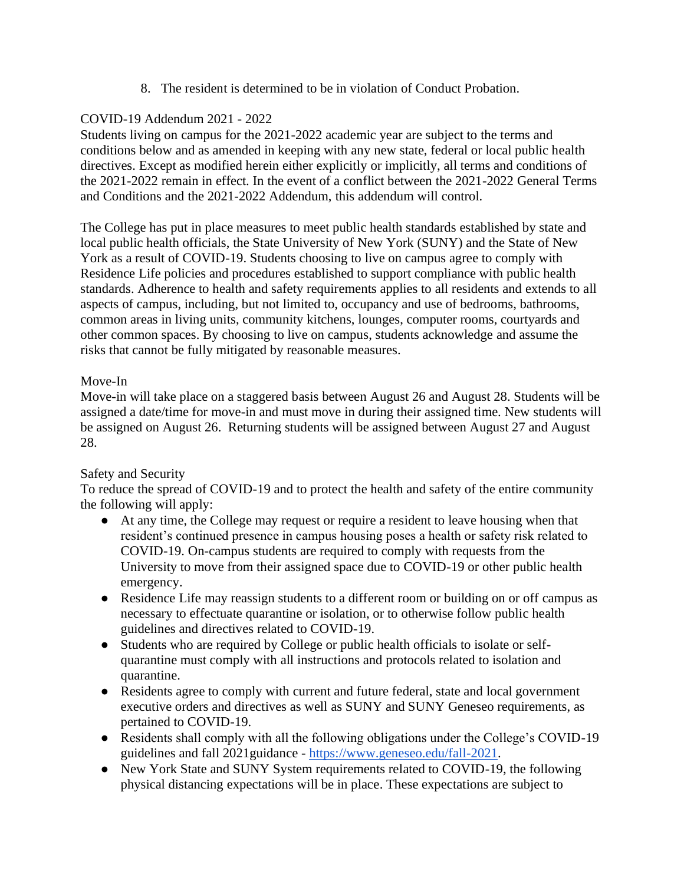8. The resident is determined to be in violation of Conduct Probation.

# COVID-19 Addendum 2021 - 2022

Students living on campus for the 2021-2022 academic year are subject to the terms and conditions below and as amended in keeping with any new state, federal or local public health directives. Except as modified herein either explicitly or implicitly, all terms and conditions of the 2021-2022 remain in effect. In the event of a conflict between the 2021-2022 General Terms and Conditions and the 2021-2022 Addendum, this addendum will control.

The College has put in place measures to meet public health standards established by state and local public health officials, the State University of New York (SUNY) and the State of New York as a result of COVID-19. Students choosing to live on campus agree to comply with Residence Life policies and procedures established to support compliance with public health standards. Adherence to health and safety requirements applies to all residents and extends to all aspects of campus, including, but not limited to, occupancy and use of bedrooms, bathrooms, common areas in living units, community kitchens, lounges, computer rooms, courtyards and other common spaces. By choosing to live on campus, students acknowledge and assume the risks that cannot be fully mitigated by reasonable measures.

# Move-In

Move-in will take place on a staggered basis between August 26 and August 28. Students will be assigned a date/time for move-in and must move in during their assigned time. New students will be assigned on August 26. Returning students will be assigned between August 27 and August 28.

# Safety and Security

To reduce the spread of COVID-19 and to protect the health and safety of the entire community the following will apply:

- At any time, the College may request or require a resident to leave housing when that resident's continued presence in campus housing poses a health or safety risk related to COVID-19. On-campus students are required to comply with requests from the University to move from their assigned space due to COVID-19 or other public health emergency.
- Residence Life may reassign students to a different room or building on or off campus as necessary to effectuate quarantine or isolation, or to otherwise follow public health guidelines and directives related to COVID-19.
- Students who are required by College or public health officials to isolate or selfquarantine must comply with all instructions and protocols related to isolation and quarantine.
- Residents agree to comply with current and future federal, state and local government executive orders and directives as well as SUNY and SUNY Geneseo requirements, as pertained to COVID-19.
- Residents shall comply with all the following obligations under the College's COVID-19 guidelines and fall 2021guidance - [https://www.geneseo.edu/fall-2021.](https://www.geneseo.edu/fall-2021)
- New York State and SUNY System requirements related to COVID-19, the following physical distancing expectations will be in place. These expectations are subject to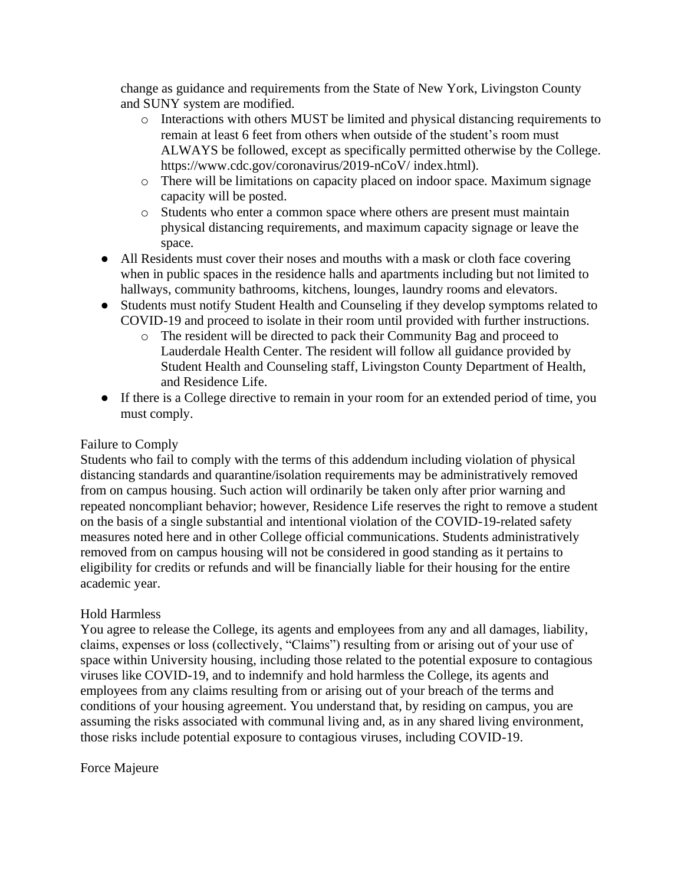change as guidance and requirements from the State of New York, Livingston County and SUNY system are modified.

- o Interactions with others MUST be limited and physical distancing requirements to remain at least 6 feet from others when outside of the student's room must ALWAYS be followed, except as specifically permitted otherwise by the College. https://www.cdc.gov/coronavirus/2019-nCoV/ index.html).
- o There will be limitations on capacity placed on indoor space. Maximum signage capacity will be posted.
- o Students who enter a common space where others are present must maintain physical distancing requirements, and maximum capacity signage or leave the space.
- All Residents must cover their noses and mouths with a mask or cloth face covering when in public spaces in the residence halls and apartments including but not limited to hallways, community bathrooms, kitchens, lounges, laundry rooms and elevators.
- Students must notify Student Health and Counseling if they develop symptoms related to COVID-19 and proceed to isolate in their room until provided with further instructions.
	- o The resident will be directed to pack their Community Bag and proceed to Lauderdale Health Center. The resident will follow all guidance provided by Student Health and Counseling staff, Livingston County Department of Health, and Residence Life.
- If there is a College directive to remain in your room for an extended period of time, you must comply.

#### Failure to Comply

Students who fail to comply with the terms of this addendum including violation of physical distancing standards and quarantine/isolation requirements may be administratively removed from on campus housing. Such action will ordinarily be taken only after prior warning and repeated noncompliant behavior; however, Residence Life reserves the right to remove a student on the basis of a single substantial and intentional violation of the COVID-19-related safety measures noted here and in other College official communications. Students administratively removed from on campus housing will not be considered in good standing as it pertains to eligibility for credits or refunds and will be financially liable for their housing for the entire academic year.

#### Hold Harmless

You agree to release the College, its agents and employees from any and all damages, liability, claims, expenses or loss (collectively, "Claims") resulting from or arising out of your use of space within University housing, including those related to the potential exposure to contagious viruses like COVID-19, and to indemnify and hold harmless the College, its agents and employees from any claims resulting from or arising out of your breach of the terms and conditions of your housing agreement. You understand that, by residing on campus, you are assuming the risks associated with communal living and, as in any shared living environment, those risks include potential exposure to contagious viruses, including COVID-19.

#### Force Majeure